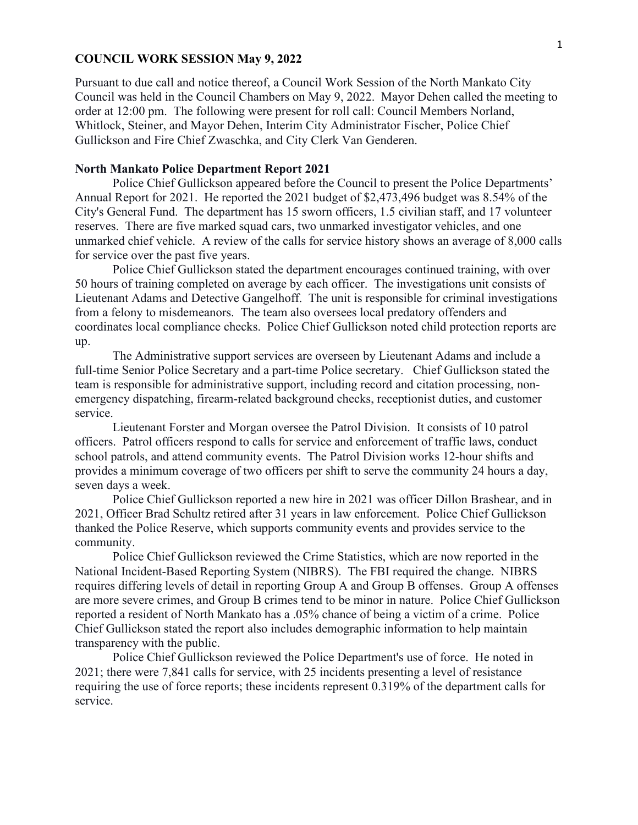# **COUNCIL WORK SESSION May 9, 2022**

Pursuant to due call and notice thereof, a Council Work Session of the North Mankato City Council was held in the Council Chambers on May 9, 2022. Mayor Dehen called the meeting to order at 12:00 pm. The following were present for roll call: Council Members Norland, Whitlock, Steiner, and Mayor Dehen, Interim City Administrator Fischer, Police Chief Gullickson and Fire Chief Zwaschka, and City Clerk Van Genderen.

# **North Mankato Police Department Report 2021**

Police Chief Gullickson appeared before the Council to present the Police Departments' Annual Report for 2021. He reported the 2021 budget of \$2,473,496 budget was 8.54% of the City's General Fund. The department has 15 sworn officers, 1.5 civilian staff, and 17 volunteer reserves. There are five marked squad cars, two unmarked investigator vehicles, and one unmarked chief vehicle. A review of the calls for service history shows an average of 8,000 calls for service over the past five years.

Police Chief Gullickson stated the department encourages continued training, with over 50 hours of training completed on average by each officer. The investigations unit consists of Lieutenant Adams and Detective Gangelhoff. The unit is responsible for criminal investigations from a felony to misdemeanors. The team also oversees local predatory offenders and coordinates local compliance checks. Police Chief Gullickson noted child protection reports are up.

The Administrative support services are overseen by Lieutenant Adams and include a full-time Senior Police Secretary and a part-time Police secretary. Chief Gullickson stated the team is responsible for administrative support, including record and citation processing, nonemergency dispatching, firearm-related background checks, receptionist duties, and customer service.

Lieutenant Forster and Morgan oversee the Patrol Division. It consists of 10 patrol officers. Patrol officers respond to calls for service and enforcement of traffic laws, conduct school patrols, and attend community events. The Patrol Division works 12-hour shifts and provides a minimum coverage of two officers per shift to serve the community 24 hours a day, seven days a week.

Police Chief Gullickson reported a new hire in 2021 was officer Dillon Brashear, and in 2021, Officer Brad Schultz retired after 31 years in law enforcement. Police Chief Gullickson thanked the Police Reserve, which supports community events and provides service to the community.

Police Chief Gullickson reviewed the Crime Statistics, which are now reported in the National Incident-Based Reporting System (NIBRS). The FBI required the change. NIBRS requires differing levels of detail in reporting Group A and Group B offenses. Group A offenses are more severe crimes, and Group B crimes tend to be minor in nature. Police Chief Gullickson reported a resident of North Mankato has a .05% chance of being a victim of a crime. Police Chief Gullickson stated the report also includes demographic information to help maintain transparency with the public.

Police Chief Gullickson reviewed the Police Department's use of force. He noted in 2021; there were 7,841 calls for service, with 25 incidents presenting a level of resistance requiring the use of force reports; these incidents represent 0.319% of the department calls for service.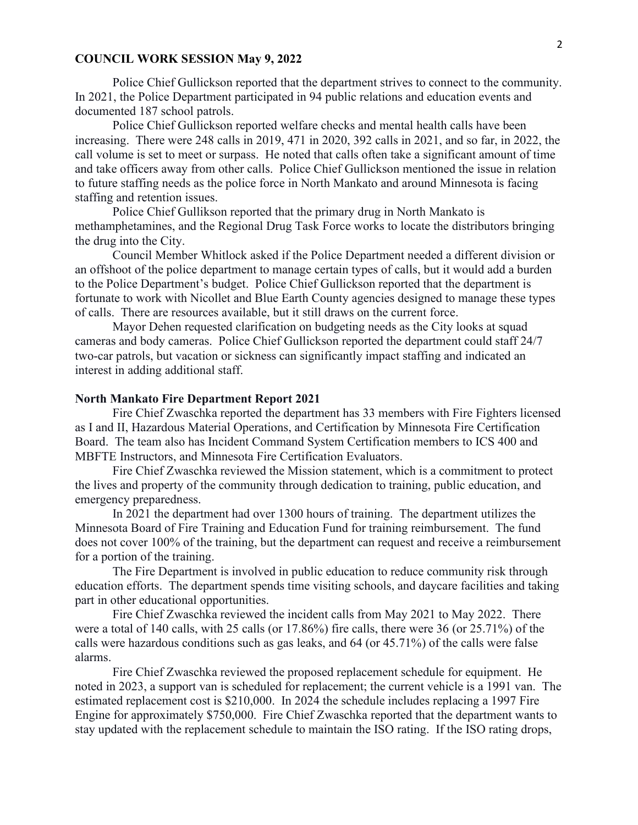## **COUNCIL WORK SESSION May 9, 2022**

Police Chief Gullickson reported that the department strives to connect to the community. In 2021, the Police Department participated in 94 public relations and education events and documented 187 school patrols.

Police Chief Gullickson reported welfare checks and mental health calls have been increasing. There were 248 calls in 2019, 471 in 2020, 392 calls in 2021, and so far, in 2022, the call volume is set to meet or surpass. He noted that calls often take a significant amount of time and take officers away from other calls. Police Chief Gullickson mentioned the issue in relation to future staffing needs as the police force in North Mankato and around Minnesota is facing staffing and retention issues.

Police Chief Gullikson reported that the primary drug in North Mankato is methamphetamines, and the Regional Drug Task Force works to locate the distributors bringing the drug into the City.

Council Member Whitlock asked if the Police Department needed a different division or an offshoot of the police department to manage certain types of calls, but it would add a burden to the Police Department's budget. Police Chief Gullickson reported that the department is fortunate to work with Nicollet and Blue Earth County agencies designed to manage these types of calls. There are resources available, but it still draws on the current force.

Mayor Dehen requested clarification on budgeting needs as the City looks at squad cameras and body cameras. Police Chief Gullickson reported the department could staff 24/7 two-car patrols, but vacation or sickness can significantly impact staffing and indicated an interest in adding additional staff.

#### **North Mankato Fire Department Report 2021**

Fire Chief Zwaschka reported the department has 33 members with Fire Fighters licensed as I and II, Hazardous Material Operations, and Certification by Minnesota Fire Certification Board. The team also has Incident Command System Certification members to ICS 400 and MBFTE Instructors, and Minnesota Fire Certification Evaluators.

Fire Chief Zwaschka reviewed the Mission statement, which is a commitment to protect the lives and property of the community through dedication to training, public education, and emergency preparedness.

In 2021 the department had over 1300 hours of training. The department utilizes the Minnesota Board of Fire Training and Education Fund for training reimbursement. The fund does not cover 100% of the training, but the department can request and receive a reimbursement for a portion of the training.

The Fire Department is involved in public education to reduce community risk through education efforts. The department spends time visiting schools, and daycare facilities and taking part in other educational opportunities.

Fire Chief Zwaschka reviewed the incident calls from May 2021 to May 2022. There were a total of 140 calls, with 25 calls (or 17.86%) fire calls, there were 36 (or 25.71%) of the calls were hazardous conditions such as gas leaks, and 64 (or 45.71%) of the calls were false alarms.

Fire Chief Zwaschka reviewed the proposed replacement schedule for equipment. He noted in 2023, a support van is scheduled for replacement; the current vehicle is a 1991 van. The estimated replacement cost is \$210,000. In 2024 the schedule includes replacing a 1997 Fire Engine for approximately \$750,000. Fire Chief Zwaschka reported that the department wants to stay updated with the replacement schedule to maintain the ISO rating. If the ISO rating drops,